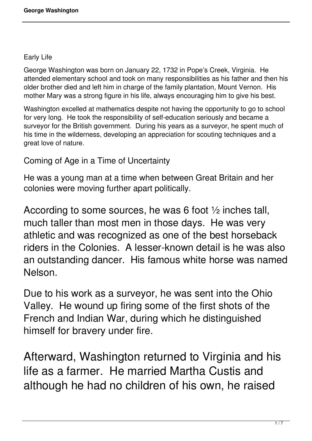#### Early Life

George Washington was born on January 22, 1732 in Pope's Creek, Virginia. He attended elementary school and took on many responsibilities as his father and then his older brother died and left him in charge of the family plantation, Mount Vernon. His mother Mary was a strong figure in his life, always encouraging him to give his best.

Washington excelled at mathematics despite not having the opportunity to go to school for very long. He took the responsibility of self-education seriously and became a surveyor for the British government. During his years as a surveyor, he spent much of his time in the wilderness, developing an appreciation for scouting techniques and a great love of nature.

#### Coming of Age in a Time of Uncertainty

He was a young man at a time when between Great Britain and her colonies were moving further apart politically.

According to some sources, he was 6 foot ½ inches tall, much taller than most men in those days. He was very athletic and was recognized as one of the best horseback riders in the Colonies. A lesser-known detail is he was also an outstanding dancer. His famous white horse was named Nelson.

Due to his work as a surveyor, he was sent into the Ohio Valley. He wound up firing some of the first shots of the French and Indian War, during which he distinguished himself for bravery under fire.

Afterward, Washington returned to Virginia and his life as a farmer. He married Martha Custis and although he had no children of his own, he raised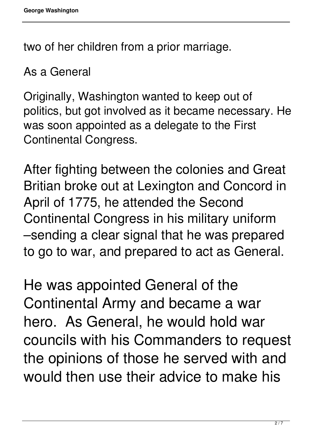two of her children from a prior marriage.

As a General

Originally, Washington wanted to keep out of politics, but got involved as it became necessary. He was soon appointed as a delegate to the First Continental Congress.

After fighting between the colonies and Great Britian broke out at Lexington and Concord in April of 1775, he attended the Second Continental Congress in his military uniform –sending a clear signal that he was prepared to go to war, and prepared to act as General.

He was appointed General of the Continental Army and became a war hero. As General, he would hold war councils with his Commanders to request the opinions of those he served with and would then use their advice to make his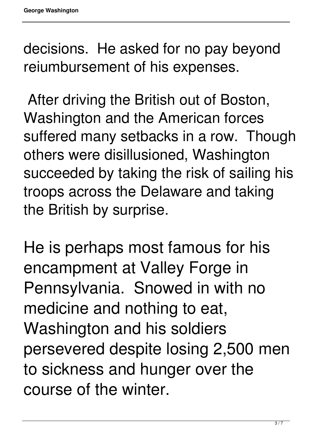decisions. He asked for no pay beyond reiumbursement of his expenses.

 After driving the British out of Boston, Washington and the American forces suffered many setbacks in a row. Though others were disillusioned, Washington succeeded by taking the risk of sailing his troops across the Delaware and taking the British by surprise.

He is perhaps most famous for his encampment at Valley Forge in Pennsylvania. Snowed in with no medicine and nothing to eat, Washington and his soldiers persevered despite losing 2,500 men to sickness and hunger over the course of the winter.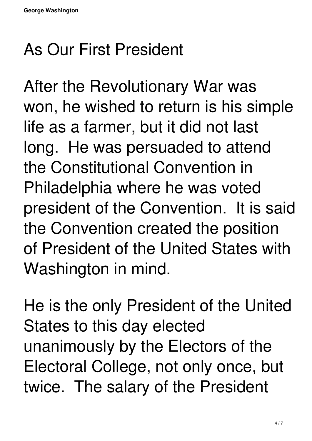### As Our First President

After the Revolutionary War was won, he wished to return is his simple life as a farmer, but it did not last long. He was persuaded to attend the Constitutional Convention in Philadelphia where he was voted president of the Convention. It is said the Convention created the position of President of the United States with Washington in mind.

He is the only President of the United States to this day elected unanimously by the Electors of the Electoral College, not only once, but twice. The salary of the President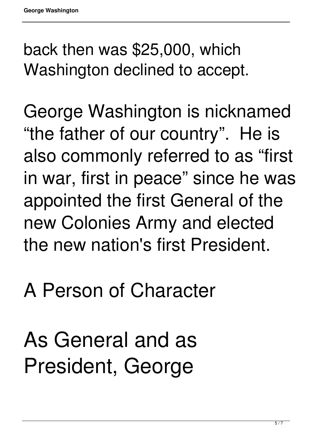back then was \$25,000, which Washington declined to accept.

George Washington is nicknamed "the father of our country". He is also commonly referred to as "first in war, first in peace" since he was appointed the first General of the new Colonies Army and elected the new nation's first President.

## A Person of Character

As General and as President, George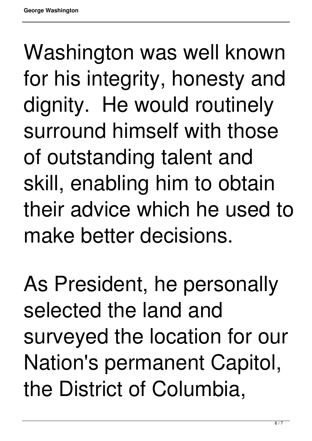Washington was well known for his integrity, honesty and dignity. He would routinely surround himself with those of outstanding talent and skill, enabling him to obtain their advice which he used to make better decisions.

As President, he personally selected the land and surveyed the location for our Nation's permanent Capitol, the District of Columbia,